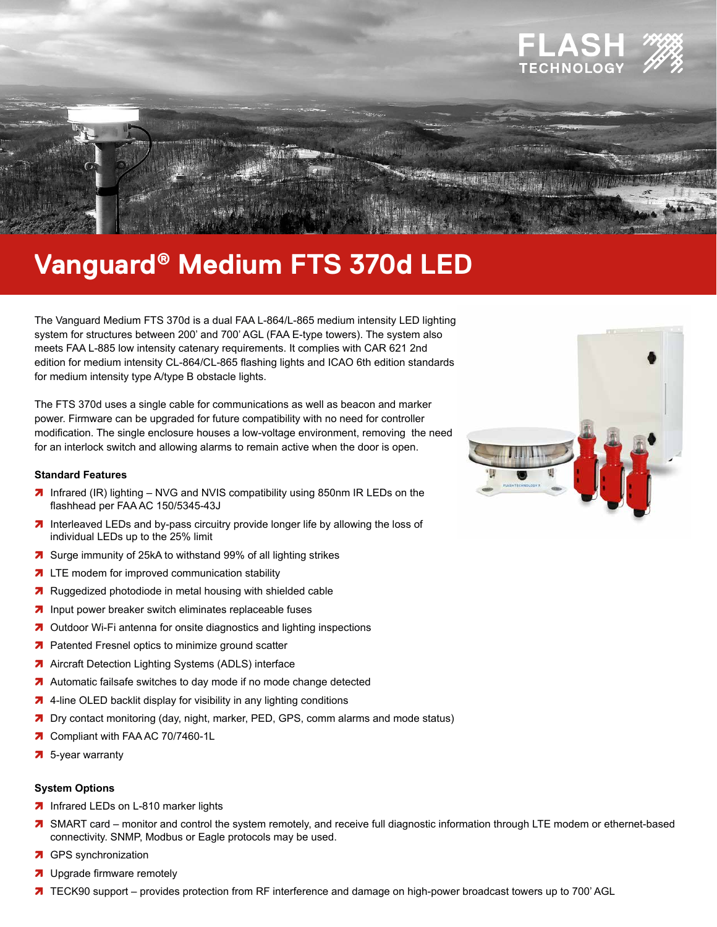

# **Vanguard<sup>®</sup> Medium FTS 370d LED**

The Vanguard Medium FTS 370d is a dual FAA L-864/L-865 medium intensity LED lighting system for structures between 200' and 700' AGL (FAA E-type towers). The system also meets FAA L-885 low intensity catenary requirements. It complies with CAR 621 2nd edition for medium intensity CL-864/CL-865 flashing lights and ICAO 6th edition standards for medium intensity type A/type B obstacle lights.

The FTS 370d uses a single cable for communications as well as beacon and marker power. Firmware can be upgraded for future compatibility with no need for controller modification. The single enclosure houses a low-voltage environment, removing the need for an interlock switch and allowing alarms to remain active when the door is open.

## **Standard Features**

- 7 Infrared (IR) lighting NVG and NVIS compatibility using 850nm IR LEDs on the flashhead per FAA AC 150/5345-43J
- 7 Interleaved LEDs and by-pass circuitry provide longer life by allowing the loss of individual LEDs up to the 25% limit
- 7 Surge immunity of 25kA to withstand 99% of all lighting strikes
- 7 LTE modem for improved communication stability
- 7 Ruggedized photodiode in metal housing with shielded cable
- 7 Input power breaker switch eliminates replaceable fuses
- 7 Outdoor Wi-Fi antenna for onsite diagnostics and lighting inspections
- 7 Patented Fresnel optics to minimize ground scatter
- 7 Aircraft Detection Lighting Systems (ADLS) interface
- 7 Automatic failsafe switches to day mode if no mode change detected
- 7 4-line OLED backlit display for visibility in any lighting conditions
- 7 Dry contact monitoring (day, night, marker, PED, GPS, comm alarms and mode status)
- 7 Compliant with FAA AC 70/7460-1L
- $\overline{7}$  5-year warranty

## **System Options**

- 7 Infrared LEDs on L-810 marker lights
- 7 SMART card monitor and control the system remotely, and receive full diagnostic information through LTE modem or ethernet-based connectivity. SNMP, Modbus or Eagle protocols may be used.
- 7 GPS synchronization
- 7 Upgrade firmware remotely
- 7 TECK90 support provides protection from RF interference and damage on high-power broadcast towers up to 700' AGL